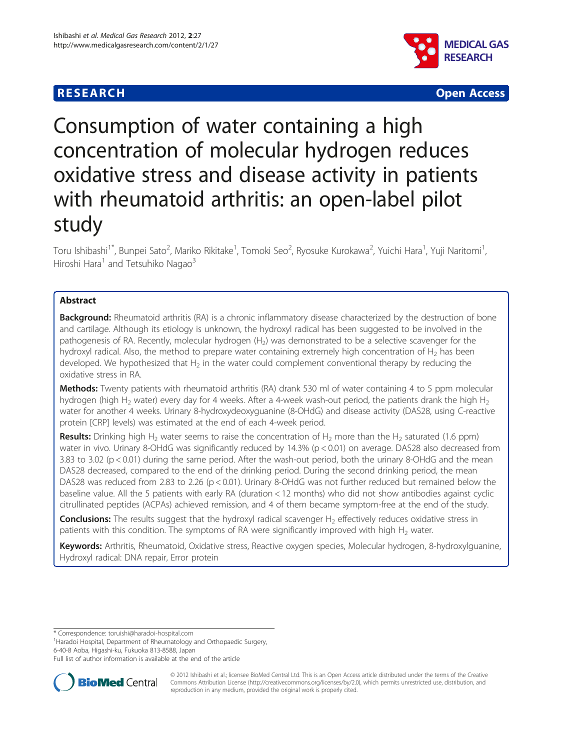



# Consumption of water containing a high concentration of molecular hydrogen reduces oxidative stress and disease activity in patients with rheumatoid arthritis: an open-label pilot study

Toru Ishibashi<sup>1\*</sup>, Bunpei Sato<sup>2</sup>, Mariko Rikitake<sup>1</sup>, Tomoki Seo<sup>2</sup>, Ryosuke Kurokawa<sup>2</sup>, Yuichi Hara<sup>1</sup>, Yuji Naritomi<sup>1</sup> , Hiroshi Hara $<sup>1</sup>$  and Tetsuhiko Nagao $<sup>3</sup>$ </sup></sup>

## Abstract

**Background:** Rheumatoid arthritis (RA) is a chronic inflammatory disease characterized by the destruction of bone and cartilage. Although its etiology is unknown, the hydroxyl radical has been suggested to be involved in the pathogenesis of RA. Recently, molecular hydrogen (H<sub>2</sub>) was demonstrated to be a selective scavenger for the hydroxyl radical. Also, the method to prepare water containing extremely high concentration of  $H_2$  has been developed. We hypothesized that  $H_2$  in the water could complement conventional therapy by reducing the oxidative stress in RA.

Methods: Twenty patients with rheumatoid arthritis (RA) drank 530 ml of water containing 4 to 5 ppm molecular hydrogen (high H<sub>2</sub> water) every day for 4 weeks. After a 4-week wash-out period, the patients drank the high H<sub>2</sub> water for another 4 weeks. Urinary 8-hydroxydeoxyguanine (8-OHdG) and disease activity (DAS28, using C-reactive protein [CRP] levels) was estimated at the end of each 4-week period.

**Results:** Drinking high H<sub>2</sub> water seems to raise the concentration of H<sub>2</sub> more than the H<sub>2</sub> saturated (1.6 ppm) water in vivo. Urinary 8-OHdG was significantly reduced by 14.3% (p < 0.01) on average. DAS28 also decreased from 3.83 to 3.02 (p < 0.01) during the same period. After the wash-out period, both the urinary 8-OHdG and the mean DAS28 decreased, compared to the end of the drinking period. During the second drinking period, the mean DAS28 was reduced from 2.83 to 2.26 (p < 0.01). Urinary 8-OHdG was not further reduced but remained below the baseline value. All the 5 patients with early RA (duration < 12 months) who did not show antibodies against cyclic citrullinated peptides (ACPAs) achieved remission, and 4 of them became symptom-free at the end of the study.

**Conclusions:** The results suggest that the hydroxyl radical scavenger H<sub>2</sub> effectively reduces oxidative stress in patients with this condition. The symptoms of RA were significantly improved with high  $H_2$  water.

Keywords: Arthritis, Rheumatoid, Oxidative stress, Reactive oxygen species, Molecular hydrogen, 8-hydroxylguanine, Hydroxyl radical: DNA repair, Error protein

\* Correspondence: [toruishi@haradoi-hospital.com](mailto:toruishi@haradoi-ospital.com) <sup>1</sup>

<sup>1</sup> Haradoi Hospital, Department of Rheumatology and Orthopaedic Surgery, 6-40-8 Aoba, Higashi-ku, Fukuoka 813-8588, Japan

Full list of author information is available at the end of the article



© 2012 Ishibashi et al.; licensee BioMed Central Ltd. This is an Open Access article distributed under the terms of the Creative Commons Attribution License [\(http://creativecommons.org/licenses/by/2.0\)](http://creativecommons.org/licenses/by/2.0), which permits unrestricted use, distribution, and reproduction in any medium, provided the original work is properly cited.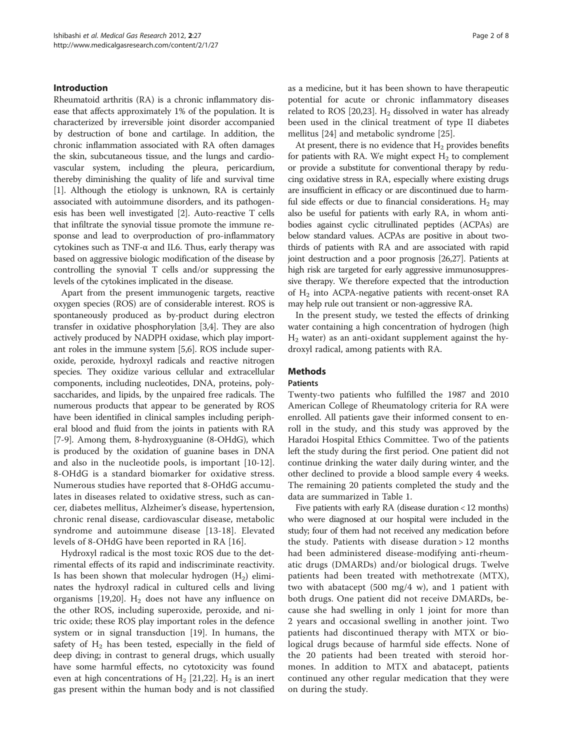## Introduction

Rheumatoid arthritis (RA) is a chronic inflammatory disease that affects approximately 1% of the population. It is characterized by irreversible joint disorder accompanied by destruction of bone and cartilage. In addition, the chronic inflammation associated with RA often damages the skin, subcutaneous tissue, and the lungs and cardiovascular system, including the pleura, pericardium, thereby diminishing the quality of life and survival time [[1\]](#page-6-0). Although the etiology is unknown, RA is certainly associated with autoimmune disorders, and its pathogenesis has been well investigated [[2\]](#page-6-0). Auto-reactive T cells that infiltrate the synovial tissue promote the immune response and lead to overproduction of pro-inflammatory cytokines such as TNF-α and IL6. Thus, early therapy was based on aggressive biologic modification of the disease by controlling the synovial T cells and/or suppressing the levels of the cytokines implicated in the disease.

Apart from the present immunogenic targets, reactive oxygen species (ROS) are of considerable interest. ROS is spontaneously produced as by-product during electron transfer in oxidative phosphorylation [\[3,4\]](#page-6-0). They are also actively produced by NADPH oxidase, which play important roles in the immune system [\[5,6](#page-6-0)]. ROS include superoxide, peroxide, hydroxyl radicals and reactive nitrogen species. They oxidize various cellular and extracellular components, including nucleotides, DNA, proteins, polysaccharides, and lipids, by the unpaired free radicals. The numerous products that appear to be generated by ROS have been identified in clinical samples including peripheral blood and fluid from the joints in patients with RA [[7-9\]](#page-6-0). Among them, 8-hydroxyguanine (8-OHdG), which is produced by the oxidation of guanine bases in DNA and also in the nucleotide pools, is important [\[10](#page-6-0)-[12](#page-6-0)]. 8-OHdG is a standard biomarker for oxidative stress. Numerous studies have reported that 8-OHdG accumulates in diseases related to oxidative stress, such as cancer, diabetes mellitus, Alzheimer's disease, hypertension, chronic renal disease, cardiovascular disease, metabolic syndrome and autoimmune disease [[13-18\]](#page-6-0). Elevated levels of 8-OHdG have been reported in RA [[16\]](#page-6-0).

Hydroxyl radical is the most toxic ROS due to the detrimental effects of its rapid and indiscriminate reactivity. Is has been shown that molecular hydrogen  $(H_2)$  eliminates the hydroxyl radical in cultured cells and living organisms [\[19,20](#page-7-0)].  $H_2$  does not have any influence on the other ROS, including superoxide, peroxide, and nitric oxide; these ROS play important roles in the defence system or in signal transduction [\[19](#page-7-0)]. In humans, the safety of  $H_2$  has been tested, especially in the field of deep diving; in contrast to general drugs, which usually have some harmful effects, no cytotoxicity was found even at high concentrations of  $H_2$  [[21](#page-7-0),[22](#page-7-0)].  $H_2$  is an inert gas present within the human body and is not classified as a medicine, but it has been shown to have therapeutic potential for acute or chronic inflammatory diseases related to ROS [[20,23\]](#page-7-0).  $H_2$  dissolved in water has already been used in the clinical treatment of type II diabetes mellitus [\[24](#page-7-0)] and metabolic syndrome [\[25](#page-7-0)].

At present, there is no evidence that  $H_2$  provides benefits for patients with RA. We might expect  $H_2$  to complement or provide a substitute for conventional therapy by reducing oxidative stress in RA, especially where existing drugs are insufficient in efficacy or are discontinued due to harmful side effects or due to financial considerations.  $H_2$  may also be useful for patients with early RA, in whom antibodies against cyclic citrullinated peptides (ACPAs) are below standard values. ACPAs are positive in about twothirds of patients with RA and are associated with rapid joint destruction and a poor prognosis [\[26,27\]](#page-7-0). Patients at high risk are targeted for early aggressive immunosuppressive therapy. We therefore expected that the introduction of H2 into ACPA-negative patients with recent-onset RA may help rule out transient or non-aggressive RA.

In the present study, we tested the effects of drinking water containing a high concentration of hydrogen (high  $H<sub>2</sub>$  water) as an anti-oxidant supplement against the hydroxyl radical, among patients with RA.

## Methods

#### **Patients**

Twenty-two patients who fulfilled the 1987 and 2010 American College of Rheumatology criteria for RA were enrolled. All patients gave their informed consent to enroll in the study, and this study was approved by the Haradoi Hospital Ethics Committee. Two of the patients left the study during the first period. One patient did not continue drinking the water daily during winter, and the other declined to provide a blood sample every 4 weeks. The remaining 20 patients completed the study and the data are summarized in Table [1](#page-2-0).

Five patients with early RA (disease duration < 12 months) who were diagnosed at our hospital were included in the study; four of them had not received any medication before the study. Patients with disease duration > 12 months had been administered disease-modifying anti-rheumatic drugs (DMARDs) and/or biological drugs. Twelve patients had been treated with methotrexate (MTX), two with abatacept (500 mg/4 w), and 1 patient with both drugs. One patient did not receive DMARDs, because she had swelling in only 1 joint for more than 2 years and occasional swelling in another joint. Two patients had discontinued therapy with MTX or biological drugs because of harmful side effects. None of the 20 patients had been treated with steroid hormones. In addition to MTX and abatacept, patients continued any other regular medication that they were on during the study.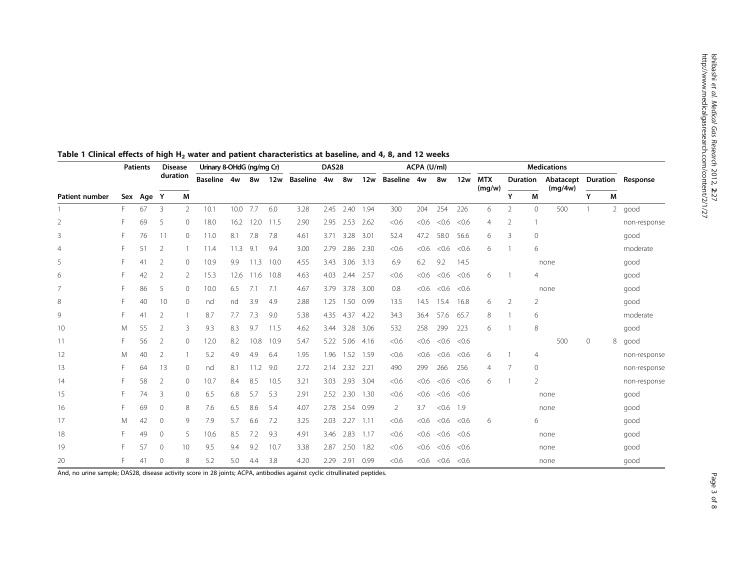|                       |    | <b>Patients</b> | <b>Disease</b><br>duration |              | Urinary 8-OHdG (ng/mg Cr) |      |      |            | DAS28           |      |      |      | ACPA (U/ml) |       |       |       | <b>Medications</b> |                 |                |                      |          |                |              |
|-----------------------|----|-----------------|----------------------------|--------------|---------------------------|------|------|------------|-----------------|------|------|------|-------------|-------|-------|-------|--------------------|-----------------|----------------|----------------------|----------|----------------|--------------|
|                       |    |                 |                            |              | Baseline 4w               |      | 8w   | <b>12w</b> | <b>Baseline</b> | 4w   | 8w   | 12w  | Baseline 4w |       | 8w    | 12w   | <b>MTX</b>         | <b>Duration</b> |                | Abatacept<br>(mq/4w) | Duration |                | Response     |
| <b>Patient number</b> |    | Sex Age         | Y                          | M            |                           |      |      |            |                 |      |      |      |             |       |       |       | (mg/w)             | Υ               | M              |                      | Y        | M              |              |
|                       | F. | 67              | 3                          | 2            | 10.1                      | 10.0 | 7.7  | 6.0        | 3.28            | 2.45 | 2.40 | 1.94 | 300         | 204   | 254   | 226   | 6                  | $\mathfrak{D}$  | $\mathbf{0}$   | 500                  |          | $\overline{2}$ | good         |
| $\overline{2}$        |    | 69              | 5                          | 0            | 18.0                      | 16.2 | 12.0 | 11.5       | 2.90            | 2.95 | 2.53 | 2.62 | < 0.6       | < 0.6 | < 0.6 | < 0.6 | 4                  | 2               |                |                      |          |                | non-response |
| 3                     |    | 76              | 11                         | $\mathbf{0}$ | 11.0                      | 8.1  | 7.8  | 7.8        | 4.61            | 3.71 | 3.28 | 3.01 | 52.4        | 47.2  | 58.0  | 56.6  | 6                  | 3               | $\mathbf{0}$   |                      |          |                | good         |
| 4                     |    | 51              | $\overline{2}$             |              | 11.4                      | 11.3 | 9.1  | 9.4        | 3.00            | 2.79 | 2.86 | 2.30 | < 0.6       | < 0.6 | < 0.6 | < 0.6 | 6                  |                 | 6              |                      |          |                | moderate     |
| 5                     |    | 41              | $\overline{2}$             | $\mathbf{0}$ | 10.9                      | 9.9  | 11.3 | 10.0       | 4.55            | 3.43 | 3.06 | 3.13 | 6.9         | 6.2   | 9.2   | 14.5  |                    |                 |                | none                 |          |                | good         |
| 6                     |    | 42              | $\overline{2}$             | 2            | 15.3                      | 12.6 | 11.6 | 10.8       | 4.63            | 4.03 | 2.44 | 2.57 | < 0.6       | < 0.6 | < 0.6 | < 0.6 | 6                  |                 | $\overline{4}$ |                      |          |                | good         |
| $\overline{7}$        |    | 86              | 5                          | $\circ$      | 10.0                      | 6.5  | 7.1  | 7.1        | 4.67            | 3.79 | 3.78 | 3.00 | 0.8         | < 0.6 | < 0.6 | < 0.6 |                    |                 |                | none                 |          |                | good         |
| 8                     |    | 40              | 10                         | $\mathbf{0}$ | nd                        | nd   | 3.9  | 4.9        | 2.88            | 1.25 | 1.50 | 0.99 | 13.5        | 14.5  | 15.4  | 16.8  | 6                  | 2               | 2              |                      |          |                | good         |
| 9                     |    | 41              | $\overline{2}$             |              | 8.7                       | 7.7  | 7.3  | 9.0        | 5.38            | 4.35 | 4.37 | 4.22 | 34.3        | 36.4  | 57.6  | 65.7  | 8                  |                 | 6              |                      |          |                | moderate     |
| 10                    | M  | 55              | $\overline{2}$             | 3            | 9.3                       | 8.3  | 9.7  | 11.5       | 4.62            | 3.44 | 3.28 | 3.06 | 532         | 258   | 299   | 223   | 6                  |                 | 8              |                      |          |                | good         |
| 11                    |    | 56              | $\overline{2}$             | $\circ$      | 12.0                      | 8.2  | 10.8 | 10.9       | 5.47            | 5.22 | 5.06 | 4.16 | < 0.6       | <0.6  | < 0.6 | < 0.6 |                    |                 |                | 500                  | $\circ$  | 8              | good         |
| 12                    | M  | 40              | $\overline{2}$             |              | 5.2                       | 4.9  | 4.9  | 6.4        | 1.95            | 1.96 | 1.52 | 1.59 | < 0.6       | < 0.6 | < 0.6 | < 0.6 | 6                  |                 | $\overline{4}$ |                      |          |                | non-response |
| 13                    |    | 64              | 13                         | $\circ$      | nd                        | 8.1  | 11.2 | 9.0        | 2.72            | 2.14 | 2.32 | 2.21 | 490         | 299   | 266   | 256   | 4                  | 7               | $\mathbf{0}$   |                      |          |                | non-response |
| 14                    |    | 58              | 2                          | 0            | 10.7                      | 8.4  | 8.5  | 10.5       | 3.21            | 3.03 | 2.93 | 3.04 | < 0.6       | < 0.6 | < 0.6 | < 0.6 | 6                  |                 | $\overline{2}$ |                      |          |                | non-response |
| 15                    | F  | 74              | 3                          | $\circ$      | 6.5                       | 6.8  | 5.7  | 5.3        | 2.91            | 2.52 | 2.30 | 1.30 | < 0.6       | <0.6  | < 0.6 | < 0.6 |                    |                 |                | none                 |          |                | good         |
| 16                    |    | 69              | 0                          | 8            | 7.6                       | 6.5  | 8.6  | 5.4        | 4.07            | 2.78 | 2.54 | 0.99 | 2           | 3.7   | < 0.6 | 1.9   |                    |                 |                | none                 |          |                | good         |
| 17                    | M  | 42              | 0                          | 9            | 7.9                       | 5.7  | 6.6  | 7.2        | 3.25            | 2.03 | 2.27 | 1.11 | < 0.6       | <0.6  | < 0.6 | < 0.6 | 6                  |                 | 6              |                      |          |                | good         |
| 18                    |    | 49              | $\circ$                    | 5            | 10.6                      | 8.5  | 7.2  | 9.3        | 4.91            | 3.46 | 2.83 | 1.17 | < 0.6       | <0.6  | < 0.6 | < 0.6 |                    |                 |                | none                 |          |                | good         |
| 19                    |    | 57              | 0                          | 10           | 9.5                       | 9.4  | 9.2  | 10.7       | 3.38            | 2.87 | 2.50 | 1.82 | < 0.6       | < 0.6 | < 0.6 | < 0.6 |                    |                 |                | none                 |          |                | good         |
| 20                    |    | 41              | $\mathbf{0}$               | 8            | 5.2                       | 5.0  | 4.4  | 3.8        | 4.20            | 2.29 | 2.91 | 0.99 | < 0.6       | <0.6  | < 0.6 | < 0.6 |                    |                 |                | none                 |          |                | good         |

## <span id="page-2-0"></span>Table 1 Clinical effects of high H<sub>2</sub> water and patient characteristics at baseline, and 4, 8, and 12 weeks

And, no urine sample; DAS28, disease activity score in 28 joints; ACPA, antibodies against cyclic citrullinated peptides.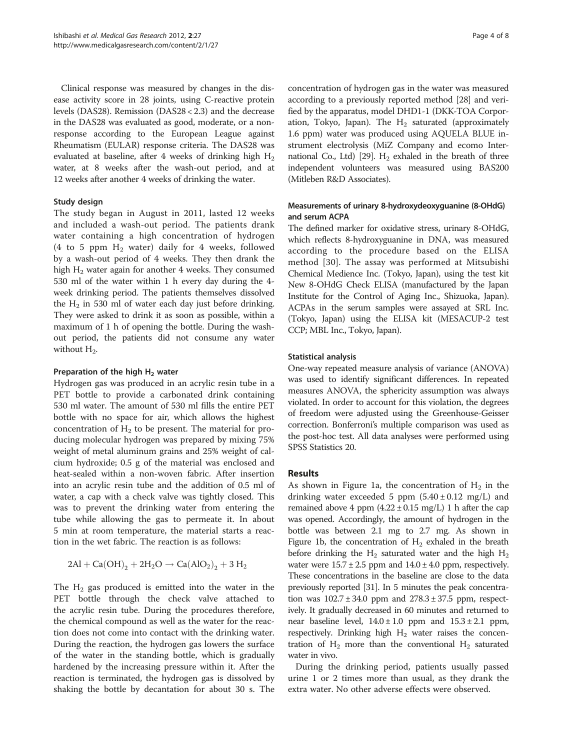Clinical response was measured by changes in the disease activity score in 28 joints, using C-reactive protein levels (DAS28). Remission (DAS28 < 2.3) and the decrease in the DAS28 was evaluated as good, moderate, or a nonresponse according to the European League against Rheumatism (EULAR) response criteria. The DAS28 was evaluated at baseline, after 4 weeks of drinking high  $H_2$ water, at 8 weeks after the wash-out period, and at 12 weeks after another 4 weeks of drinking the water.

#### Study design

The study began in August in 2011, lasted 12 weeks and included a wash-out period. The patients drank water containing a high concentration of hydrogen (4 to 5 ppm  $H_2$  water) daily for 4 weeks, followed by a wash-out period of 4 weeks. They then drank the high  $H<sub>2</sub>$  water again for another 4 weeks. They consumed 530 ml of the water within 1 h every day during the 4 week drinking period. The patients themselves dissolved the  $H_2$  in 530 ml of water each day just before drinking. They were asked to drink it as soon as possible, within a maximum of 1 h of opening the bottle. During the washout period, the patients did not consume any water without  $H_2$ .

### Preparation of the high  $H_2$  water

Hydrogen gas was produced in an acrylic resin tube in a PET bottle to provide a carbonated drink containing 530 ml water. The amount of 530 ml fills the entire PET bottle with no space for air, which allows the highest concentration of  $H_2$  to be present. The material for producing molecular hydrogen was prepared by mixing 75% weight of metal aluminum grains and 25% weight of calcium hydroxide; 0.5 g of the material was enclosed and heat-sealed within a non-woven fabric. After insertion into an acrylic resin tube and the addition of 0.5 ml of water, a cap with a check valve was tightly closed. This was to prevent the drinking water from entering the tube while allowing the gas to permeate it. In about 5 min at room temperature, the material starts a reaction in the wet fabric. The reaction is as follows:

$$
2Al + Ca(OH)2 + 2H2O \rightarrow Ca(AIO2)2 + 3H2
$$

The  $H_2$  gas produced is emitted into the water in the PET bottle through the check valve attached to the acrylic resin tube. During the procedures therefore, the chemical compound as well as the water for the reaction does not come into contact with the drinking water. During the reaction, the hydrogen gas lowers the surface of the water in the standing bottle, which is gradually hardened by the increasing pressure within it. After the reaction is terminated, the hydrogen gas is dissolved by shaking the bottle by decantation for about 30 s. The concentration of hydrogen gas in the water was measured according to a previously reported method [[28](#page-7-0)] and verified by the apparatus, model DHD1-1 (DKK-TOA Corporation, Tokyo, Japan). The  $H_2$  saturated (approximately 1.6 ppm) water was produced using AQUELA BLUE instrument electrolysis (MiZ Company and ecomo Inter-national Co., Ltd) [\[29](#page-7-0)].  $H_2$  exhaled in the breath of three independent volunteers was measured using BAS200 (Mitleben R&D Associates).

## Measurements of urinary 8-hydroxydeoxyguanine (8-OHdG) and serum ACPA

The defined marker for oxidative stress, urinary 8-OHdG, which reflects 8-hydroxyguanine in DNA, was measured according to the procedure based on the ELISA method [[30](#page-7-0)]. The assay was performed at Mitsubishi Chemical Medience Inc. (Tokyo, Japan), using the test kit New 8-OHdG Check ELISA (manufactured by the Japan Institute for the Control of Aging Inc., Shizuoka, Japan). ACPAs in the serum samples were assayed at SRL Inc. (Tokyo, Japan) using the ELISA kit (MESACUP-2 test CCP; MBL Inc., Tokyo, Japan).

### Statistical analysis

One-way repeated measure analysis of variance (ANOVA) was used to identify significant differences. In repeated measures ANOVA, the sphericity assumption was always violated. In order to account for this violation, the degrees of freedom were adjusted using the Greenhouse-Geisser correction. Bonferroni's multiple comparison was used as the post-hoc test. All data analyses were performed using SPSS Statistics 20.

## **Results**

As shown in Figure [1](#page-4-0)a, the concentration of  $H_2$  in the drinking water exceeded 5 ppm  $(5.40 \pm 0.12 \text{ mg/L})$  and remained above 4 ppm  $(4.22 \pm 0.15 \text{ mg/L})$  1 h after the cap was opened. Accordingly, the amount of hydrogen in the bottle was between 2.1 mg to 2.7 mg. As shown in Figure [1](#page-4-0)b, the concentration of  $H_2$  exhaled in the breath before drinking the  $H_2$  saturated water and the high  $H_2$ water were  $15.7 \pm 2.5$  ppm and  $14.0 \pm 4.0$  ppm, respectively. These concentrations in the baseline are close to the data previously reported [\[31\]](#page-7-0). In 5 minutes the peak concentration was  $102.7 \pm 34.0$  ppm and  $278.3 \pm 37.5$  ppm, respectively. It gradually decreased in 60 minutes and returned to near baseline level,  $14.0 \pm 1.0$  ppm and  $15.3 \pm 2.1$  ppm, respectively. Drinking high  $H_2$  water raises the concentration of  $H_2$  more than the conventional  $H_2$  saturated water in vivo.

During the drinking period, patients usually passed urine 1 or 2 times more than usual, as they drank the extra water. No other adverse effects were observed.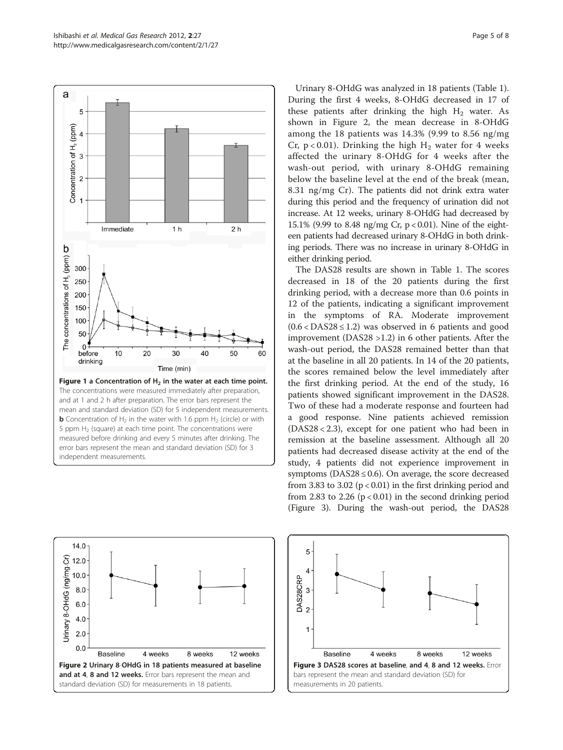<span id="page-4-0"></span>

Urinary 8-OHdG was analyzed in 18 patients (Table [1](#page-2-0)). During the first 4 weeks, 8-OHdG decreased in 17 of these patients after drinking the high  $H_2$  water. As shown in Figure 2, the mean decrease in 8-OHdG among the 18 patients was 14.3% (9.99 to 8.56 ng/mg Cr,  $p < 0.01$ ). Drinking the high H<sub>2</sub> water for 4 weeks affected the urinary 8-OHdG for 4 weeks after the wash-out period, with urinary 8-OHdG remaining below the baseline level at the end of the break (mean, 8.31 ng/mg Cr). The patients did not drink extra water during this period and the frequency of urination did not increase. At 12 weeks, urinary 8-OHdG had decreased by 15.1% (9.99 to 8.48 ng/mg Cr, p < 0.01). Nine of the eighteen patients had decreased urinary 8-OHdG in both drinking periods. There was no increase in urinary 8-OHdG in either drinking period.

The DAS28 results are shown in Table [1.](#page-2-0) The scores decreased in 18 of the 20 patients during the first drinking period, with a decrease more than 0.6 points in 12 of the patients, indicating a significant improvement in the symptoms of RA. Moderate improvement  $(0.6 < \text{DAS28} \leq 1.2)$  was observed in 6 patients and good improvement (DAS28 >1.2) in 6 other patients. After the wash-out period, the DAS28 remained better than that at the baseline in all 20 patients. In 14 of the 20 patients, the scores remained below the level immediately after the first drinking period. At the end of the study, 16 patients showed significant improvement in the DAS28. Two of these had a moderate response and fourteen had a good response. Nine patients achieved remission (DAS28 < 2.3), except for one patient who had been in remission at the baseline assessment. Although all 20 patients had decreased disease activity at the end of the study, 4 patients did not experience improvement in symptoms ( $DAS28 \leq 0.6$ ). On average, the score decreased from 3.83 to 3.02 ( $p < 0.01$ ) in the first drinking period and from 2.83 to 2.26 ( $p < 0.01$ ) in the second drinking period (Figure 3). During the wash-out period, the DAS28



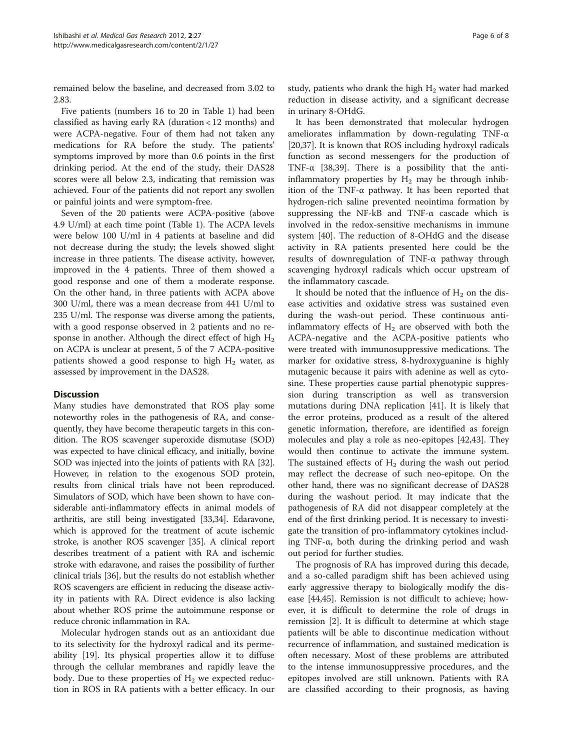remained below the baseline, and decreased from 3.02 to 2.83.

Five patients (numbers 16 to 20 in Table [1\)](#page-2-0) had been classified as having early RA (duration < 12 months) and were ACPA-negative. Four of them had not taken any medications for RA before the study. The patients' symptoms improved by more than 0.6 points in the first drinking period. At the end of the study, their DAS28 scores were all below 2.3, indicating that remission was achieved. Four of the patients did not report any swollen or painful joints and were symptom-free.

Seven of the 20 patients were ACPA-positive (above 4.9 U/ml) at each time point (Table [1\)](#page-2-0). The ACPA levels were below 100 U/ml in 4 patients at baseline and did not decrease during the study; the levels showed slight increase in three patients. The disease activity, however, improved in the 4 patients. Three of them showed a good response and one of them a moderate response. On the other hand, in three patients with ACPA above 300 U/ml, there was a mean decrease from 441 U/ml to 235 U/ml. The response was diverse among the patients, with a good response observed in 2 patients and no response in another. Although the direct effect of high  $H_2$ on ACPA is unclear at present, 5 of the 7 ACPA-positive patients showed a good response to high  $H_2$  water, as assessed by improvement in the DAS28.

## **Discussion**

Many studies have demonstrated that ROS play some noteworthy roles in the pathogenesis of RA, and consequently, they have become therapeutic targets in this condition. The ROS scavenger superoxide dismutase (SOD) was expected to have clinical efficacy, and initially, bovine SOD was injected into the joints of patients with RA [[32](#page-7-0)]. However, in relation to the exogenous SOD protein, results from clinical trials have not been reproduced. Simulators of SOD, which have been shown to have considerable anti-inflammatory effects in animal models of arthritis, are still being investigated [\[33,34](#page-7-0)]. Edaravone, which is approved for the treatment of acute ischemic stroke, is another ROS scavenger [[35](#page-7-0)]. A clinical report describes treatment of a patient with RA and ischemic stroke with edaravone, and raises the possibility of further clinical trials [\[36\]](#page-7-0), but the results do not establish whether ROS scavengers are efficient in reducing the disease activity in patients with RA. Direct evidence is also lacking about whether ROS prime the autoimmune response or reduce chronic inflammation in RA.

Molecular hydrogen stands out as an antioxidant due to its selectivity for the hydroxyl radical and its permeability [\[19\]](#page-7-0). Its physical properties allow it to diffuse through the cellular membranes and rapidly leave the body. Due to these properties of  $H_2$  we expected reduction in ROS in RA patients with a better efficacy. In our

study, patients who drank the high  $H_2$  water had marked reduction in disease activity, and a significant decrease in urinary 8-OHdG.

It has been demonstrated that molecular hydrogen ameliorates inflammation by down-regulating TNF-α [[20,37\]](#page-7-0). It is known that ROS including hydroxyl radicals function as second messengers for the production of TNF- $\alpha$  [\[38,39](#page-7-0)]. There is a possibility that the antiinflammatory properties by  $H_2$  may be through inhibition of the TNF-α pathway. It has been reported that hydrogen-rich saline prevented neointima formation by suppressing the NF-kB and TNF-α cascade which is involved in the redox-sensitive mechanisms in immune system [[40](#page-7-0)]. The reduction of 8-OHdG and the disease activity in RA patients presented here could be the results of downregulation of TNF-α pathway through scavenging hydroxyl radicals which occur upstream of the inflammatory cascade.

It should be noted that the influence of  $H_2$  on the disease activities and oxidative stress was sustained even during the wash-out period. These continuous antiinflammatory effects of  $H_2$  are observed with both the ACPA-negative and the ACPA-positive patients who were treated with immunosuppressive medications. The marker for oxidative stress, 8-hydroxyguanine is highly mutagenic because it pairs with adenine as well as cytosine. These properties cause partial phenotypic suppression during transcription as well as transversion mutations during DNA replication [\[41\]](#page-7-0). It is likely that the error proteins, produced as a result of the altered genetic information, therefore, are identified as foreign molecules and play a role as neo-epitopes [\[42,43\]](#page-7-0). They would then continue to activate the immune system. The sustained effects of  $H_2$  during the wash out period may reflect the decrease of such neo-epitope. On the other hand, there was no significant decrease of DAS28 during the washout period. It may indicate that the pathogenesis of RA did not disappear completely at the end of the first drinking period. It is necessary to investigate the transition of pro-inflammatory cytokines including TNF-α, both during the drinking period and wash out period for further studies.

The prognosis of RA has improved during this decade, and a so-called paradigm shift has been achieved using early aggressive therapy to biologically modify the disease [[44,45\]](#page-7-0). Remission is not difficult to achieve; however, it is difficult to determine the role of drugs in remission [\[2](#page-6-0)]. It is difficult to determine at which stage patients will be able to discontinue medication without recurrence of inflammation, and sustained medication is often necessary. Most of these problems are attributed to the intense immunosuppressive procedures, and the epitopes involved are still unknown. Patients with RA are classified according to their prognosis, as having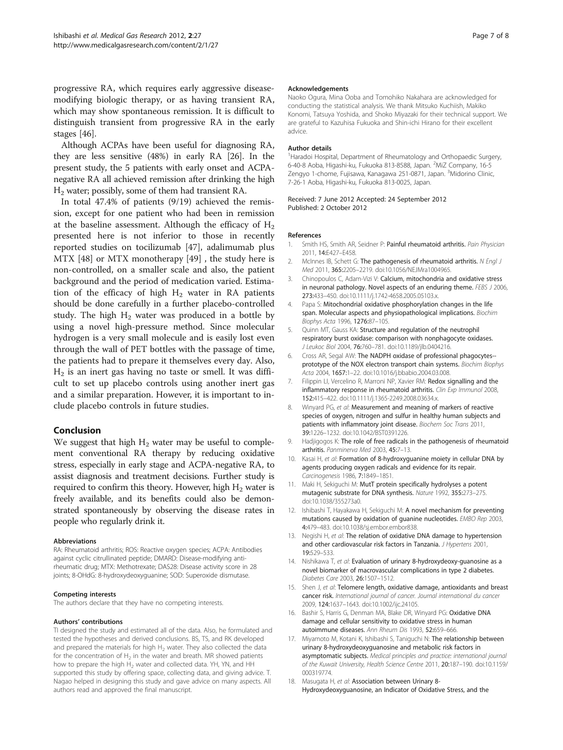<span id="page-6-0"></span>progressive RA, which requires early aggressive diseasemodifying biologic therapy, or as having transient RA, which may show spontaneous remission. It is difficult to distinguish transient from progressive RA in the early stages [\[46\]](#page-7-0).

Although ACPAs have been useful for diagnosing RA, they are less sensitive (48%) in early RA [\[26](#page-7-0)]. In the present study, the 5 patients with early onset and ACPAnegative RA all achieved remission after drinking the high H2 water; possibly, some of them had transient RA.

In total 47.4% of patients (9/19) achieved the remission, except for one patient who had been in remission at the baseline assessment. Although the efficacy of  $H<sub>2</sub>$ presented here is not inferior to those in recently reported studies on tocilizumab [\[47](#page-7-0)], adalimumab plus MTX [\[48](#page-7-0)] or MTX monotherapy [\[49](#page-7-0)] , the study here is non-controlled, on a smaller scale and also, the patient background and the period of medication varied. Estimation of the efficacy of high  $H_2$  water in RA patients should be done carefully in a further placebo-controlled study. The high  $H_2$  water was produced in a bottle by using a novel high-pressure method. Since molecular hydrogen is a very small molecule and is easily lost even through the wall of PET bottles with the passage of time, the patients had to prepare it themselves every day. Also,  $H<sub>2</sub>$  is an inert gas having no taste or smell. It was difficult to set up placebo controls using another inert gas and a similar preparation. However, it is important to include placebo controls in future studies.

## Conclusion

We suggest that high  $H_2$  water may be useful to complement conventional RA therapy by reducing oxidative stress, especially in early stage and ACPA-negative RA, to assist diagnosis and treatment decisions. Further study is required to confirm this theory. However, high  $H_2$  water is freely available, and its benefits could also be demonstrated spontaneously by observing the disease rates in people who regularly drink it.

#### Abbreviations

RA: Rheumatoid arthritis; ROS: Reactive oxygen species; ACPA: Antibodies against cyclic citrullinated peptide; DMARD: Disease-modifying antirheumatic drug; MTX: Methotrexate; DAS28: Disease activity score in 28 joints; 8-OHdG: 8-hydroxydeoxyguanine; SOD: Superoxide dismutase.

#### Competing interests

The authors declare that they have no competing interests.

#### Authors' contributions

TI designed the study and estimated all of the data. Also, he formulated and tested the hypotheses and derived conclusions. BS, TS, and RK developed and prepared the materials for high  $H_2$  water. They also collected the data for the concentration of  $H_2$  in the water and breath. MR showed patients how to prepare the high  $H_2$  water and collected data. YH, YN, and HH supported this study by offering space, collecting data, and giving advice. T. Nagao helped in designing this study and gave advice on many aspects. All authors read and approved the final manuscript.

#### Acknowledgements

Naoko Ogura, Mina Ooba and Tomohiko Nakahara are acknowledged for conducting the statistical analysis. We thank Mitsuko Kuchiish, Makiko Konomi, Tatsuya Yoshida, and Shoko Miyazaki for their technical support. We are grateful to Kazuhisa Fukuoka and Shin-ichi Hirano for their excellent advice.

#### Author details

<sup>1</sup> Haradoi Hospital, Department of Rheumatology and Orthopaedic Surgery, 6-40-8 Aoba, Higashi-ku, Fukuoka 813-8588, Japan. <sup>2</sup>MiZ Company, 16-5 Zengyo 1-chome, Fujisawa, Kanagawa 251-0871, Japan. <sup>3</sup>Midorino Clinic 7-26-1 Aoba, Higashi-ku, Fukuoka 813-0025, Japan.

#### Received: 7 June 2012 Accepted: 24 September 2012 Published: 2 October 2012

#### References

- 1. Smith HS, Smith AR, Seidner P: Painful rheumatoid arthritis. Pain Physician 2011, 14:E427–E458.
- 2. McInnes IB, Schett G: The pathogenesis of rheumatoid arthritis. N Engl J Med 2011, 365:2205–2219. doi:[10.1056/NEJMra1004965.](http://dx.doi.org/10.1056/NEJMra1004965)
- Chinopoulos C, Adam-Vizi V: Calcium, mitochondria and oxidative stress in neuronal pathology. Novel aspects of an enduring theme. FEBS J 2006, 273:433–450. doi:[10.1111/j.1742-4658.2005.05103.x.](http://dx.doi.org/10.1111/j.1742-4658.2005.05103.x)
- Papa S: Mitochondrial oxidative phosphorylation changes in the life span. Molecular aspects and physiopathological implications. Biochim Biophys Acta 1996, 1276:87–105.
- 5. Quinn MT, Gauss KA: Structure and regulation of the neutrophil respiratory burst oxidase: comparison with nonphagocyte oxidases. J Leukoc Biol 2004, 76:760–781. doi[:10.1189/jlb.0404216.](http://dx.doi.org/10.1189/jlb.0404216)
- 6. Cross AR, Segal AW: The NADPH oxidase of professional phagocytes- prototype of the NOX electron transport chain systems. Biochim Biophys Acta 2004, 1657:1–22. doi:[10.1016/j.bbabio.2004.03.008.](http://dx.doi.org/10.1016/j.bbabio.2004.03.008)
- 7. Filippin LI, Vercelino R, Marroni NP, Xavier RM: Redox signalling and the inflammatory response in rheumatoid arthritis. Clin Exp Immunol 2008, 152:415–422. doi:[10.1111/j.1365-2249.2008.03634.x.](http://dx.doi.org/10.1111/j.1365-2249.2008.03634.x)
- 8. Winyard PG, et al: Measurement and meaning of markers of reactive species of oxygen, nitrogen and sulfur in healthy human subjects and patients with inflammatory joint disease. Biochem Soc Trans 2011, 39:1226–1232. doi:[10.1042/BST0391226.](http://dx.doi.org/10.1042/BST0391226)
- 9. Hadjigogos K: The role of free radicals in the pathogenesis of rheumatoid arthritis. Panminerva Med 2003, 45:7–13.
- 10. Kasai H, et al: Formation of 8-hydroxyguanine moiety in cellular DNA by agents producing oxygen radicals and evidence for its repair. Carcinogenesis 1986, 7:1849–1851.
- 11. Maki H, Sekiguchi M: MutT protein specifically hydrolyses a potent mutagenic substrate for DNA synthesis. Nature 1992, 355:273–275. doi[:10.1038/355273a0.](http://dx.doi.org/10.1038/355273a0)
- 12. Ishibashi T, Hayakawa H, Sekiguchi M: A novel mechanism for preventing mutations caused by oxidation of guanine nucleotides. EMBO Rep 2003, 4:479–483. doi[:10.1038/sj.embor.embor838.](http://dx.doi.org/10.1038/sj.embor.embor838)
- 13. Negishi H, et al: The relation of oxidative DNA damage to hypertension and other cardiovascular risk factors in Tanzania. J Hypertens 2001, 19:529–533.
- 14. Nishikawa T, et al: Evaluation of urinary 8-hydroxydeoxy-guanosine as a novel biomarker of macrovascular complications in type 2 diabetes. Diabetes Care 2003, 26:1507–1512.
- 15. Shen J, et al: Telomere length, oxidative damage, antioxidants and breast cancer risk. International journal of cancer. Journal international du cancer 2009, 124:1637–1643. doi:[10.1002/ijc.24105.](http://dx.doi.org/10.1002/ijc.24105)
- 16. Bashir S, Harris G, Denman MA, Blake DR, Winyard PG: Oxidative DNA damage and cellular sensitivity to oxidative stress in human autoimmune diseases. Ann Rheum Dis 1993, 52:659–666.
- 17. Miyamoto M, Kotani K, Ishibashi S, Taniguchi N: The relationship between urinary 8-hydroxydeoxyguanosine and metabolic risk factors in asymptomatic subjects. Medical principles and practice: international journal of the Kuwait University, Health Science Centre 2011, 20:187–190. doi[:10.1159/](http://dx.doi.org/10.1159/000319774) [000319774.](http://dx.doi.org/10.1159/000319774)
- 18. Masugata H, et al: Association between Urinary 8-Hydroxydeoxyguanosine, an Indicator of Oxidative Stress, and the